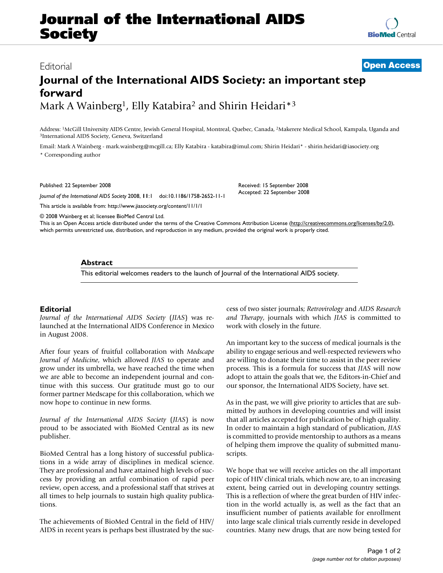# **Journal of the International AIDS Society**

### Editorial **[Open Access](http://www.biomedcentral.com/info/about/charter/)**

## **Journal of the International AIDS Society: an important step forward** Mark A Wainberg<sup>1</sup>, Elly Katabira<sup>2</sup> and Shirin Heidari<sup>\*3</sup>

Address: <sup>1</sup>McGill University AIDS Centre, Jewish General Hospital, Montreal, Quebec, Canada, <sup>2</sup>Makerere Medical School, Kampala, Uganda and <sup>3</sup>International AIDS Society, Geneva, Switzerland

Email: Mark A Wainberg - mark.wainberg@mcgill.ca; Elly Katabira - katabira@imul.com; Shirin Heidari\* - shirin.heidari@iasociety.org \* Corresponding author

Published: 22 September 2008

*Journal of the International AIDS Society* 2008, **11**:1 doi:10.1186/1758-2652-11-1

[This article is available from: http://www.jiasociety.org/content/11/1/1](http://www.jiasociety.org/content/11/1/1)

© 2008 Wainberg et al; licensee BioMed Central Ltd.

This is an Open Access article distributed under the terms of the Creative Commons Attribution License [\(http://creativecommons.org/licenses/by/2.0\)](http://creativecommons.org/licenses/by/2.0), which permits unrestricted use, distribution, and reproduction in any medium, provided the original work is properly cited.

Received: 15 September 2008 Accepted: 22 September 2008

### **Abstract**

This editorial welcomes readers to the launch of Journal of the International AIDS society.

### **Editorial**

*Journal of the International AIDS Society* (*JIAS*) was relaunched at the International AIDS Conference in Mexico in August 2008.

After four years of fruitful collaboration with *Medscape Journal of Medicine*, which allowed *JIAS* to operate and grow under its umbrella, we have reached the time when we are able to become an independent journal and continue with this success. Our gratitude must go to our former partner Medscape for this collaboration, which we now hope to continue in new forms.

*Journal of the International AIDS Society* (*JIAS*) is now proud to be associated with BioMed Central as its new publisher.

BioMed Central has a long history of successful publications in a wide array of disciplines in medical science. They are professional and have attained high levels of success by providing an artful combination of rapid peer review, open access, and a professional staff that strives at all times to help journals to sustain high quality publications.

The achievements of BioMed Central in the field of HIV/ AIDS in recent years is perhaps best illustrated by the success of two sister journals; *Retrovirology* and *AIDS Research and Therapy*, journals with which *JIAS* is committed to work with closely in the future.

An important key to the success of medical journals is the ability to engage serious and well-respected reviewers who are willing to donate their time to assist in the peer review process. This is a formula for success that *JIAS* will now adopt to attain the goals that we, the Editors-in-Chief and our sponsor, the International AIDS Society, have set.

As in the past, we will give priority to articles that are submitted by authors in developing countries and will insist that all articles accepted for publication be of high quality. In order to maintain a high standard of publication, *JIAS* is committed to provide mentorship to authors as a means of helping them improve the quality of submitted manuscripts.

We hope that we will receive articles on the all important topic of HIV clinical trials, which now are, to an increasing extent, being carried out in developing country settings. This is a reflection of where the great burden of HIV infection in the world actually is, as well as the fact that an insufficient number of patients available for enrollment into large scale clinical trials currently reside in developed countries. Many new drugs, that are now being tested for